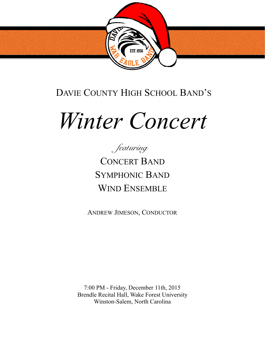

# DAVIE COUNTY HIGH SCHOOL BAND'S

# *Winter Concert*



CONCERT BAND SYMPHONIC BAND WIND ENSEMBLE

ANDREW JIMESON, CONDUCTOR

7:00 PM - Friday, December 11th, 2015 Brendle Recital Hall, Wake Forest University Winston-Salem, North Carolina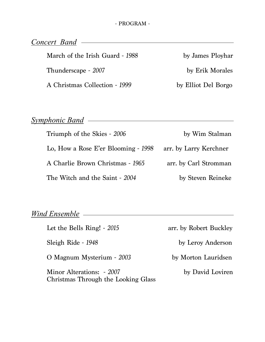*Concert Band*

March of the Irish Guard - 1988 by James Ployhar Thunderscape - 2007 **by Erik Morales** A Christmas Collection - 1999 by Elliot Del Borgo

### *Symphonic Band*

Triumph of the Skies - 2006 by Wim Stalman Lo, How a Rose E'er Blooming - *1998* arr. by Larry Kerchner A Charlie Brown Christmas - *1965* arr. by Carl Stromman The Witch and the Saint - 2004 by Steven Reineke

# *Wind Ensemble*

Let the Bells Ring! - *2015* arr. by Robert Buckley Sleigh Ride - 1948 by Leroy Anderson O Magnum Mysterium - *2003* by Morton Lauridsen Minor Alterations: - 2007 by David Loviren Christmas Through the Looking Glass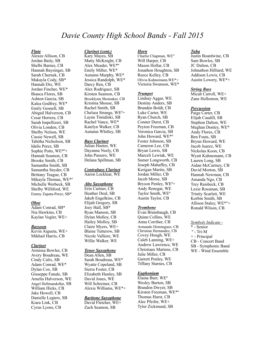## *Davie County High School Bands - Fall 2015*

#### *Flute*

Alexee Allison, CB Jordan Baity, SB Shelbi Barnes, CB Hannah Baysinger, SB Sarah Chernek, CB Makayla Cody, SB\* Hannah Dix, WE Jordan Fincher, WE\* Bianca Flores, SB Ashton Garcia, SB Kalea Godfrey, WE\* Emily Gosnell, SB Abigail Halverson, CB Cesar Herrera, CB Sarah Impellizeri, SB Olivia London, CB Shelby Nelson, WE Cassie Newell, SB Tabitha Nicholson, SB Idalis Perez, SB Sophie Potts, WE\*º+ Hannah Seamon, CB Brooke Smith, CB Samantha Smith, SB Samantha Snyder, CB Brittany Teague, CB Mikayla Thomas, WE\*º Michelle Werbeck, SB Shelby Williford, WE Emmy Zapata-Perez, SB\*

#### *Oboe*

Adam Conrad, SB\* Nia Hawkins, CB Kaylan Vogler, WE+

#### *Bassoon*

Kevin Argueta, WE+ Mikhail Harris, CB

#### *Clarinet*

Armissa Bowles, CB Avery Boudreau, WE Cindy Calix, SB Adam Conrad, WE\* Dylan Cox, SB Giuseppe Fanale, SB Amelia Halverson, WE Angel Hellmandollar, SB William Hicks, CB Jake Howell, CB Danielle Legters, SB Kiara Link, CB Cyrus Lyons, CB

#### *Clarinet (cont.)*

Kary Mayes, SB Matty McKnight, CB Alex Meader, WE\*º Emily Miller, WE\* Autumn Murphy, WE\* Jessica Randolph, WE\* Darcy Ren, CB Alex Rodriguez, SB Kirsten Seamon, CB Brooklynn Shomaker, CB Kristina Shouse, SB Rachel Smith, SB Chelsea Strange, WEº+ Layne Timidiski, SB Rachel Vance, WE\* Katelyn Walker, CB Autumn Whitley, SB

#### *Bass Clarinet*

Julian Hunter, WE Dayanna Neely, CB John Passero, WE Delana Spillman, SB

*Contrabass Clarinet*  Aaron Locklear, WE

#### *Alto Saxophone*

Erin Cartner, CB Heather Deal, SB Jakeb Engelkins, CB Elijah Gregory, SB Joey Hall, SB\* Ryan Manson, SB Dylan Molloy, CB Hailey Molloy, SB Claire Myers, WE+ Blaine Tutterow, SB Nicole Valliere, WE Willie Walker, WE

#### *Tenor Saxophone*

Dean Allen, SB Sarah Boudreau, WE\* Wyatte Copeland, SB Sierra Foster, CB Elizabeth Hunley, SB David Jones, WE Will Schreiner, CB Alexis Williams, WE\*+

#### *Baritone Saxophone*

David Fletcher, WE+ Zach Seamon, SB

#### *Horn*

Charlie Chapman, WE° Will Harper, CB Mason Hollar, CB Jonathon Houghton, SB Reece Kelley, CB Olivia Kuhnemann,WE\*+ Victoria Swanson, WE\*

#### *Trumpet*

Lindsay Aggar, WE Destiny Anders, SB Branden Boldt, CB Luke Carter, WE Ryan Church, SB Conner Durst, CB Peyton Freeman, CB Veronica Garcia, SB John Howard, WE\*º Foster Johnson, SB Cameron Lee, CB Bryan Lewis, SB Marceli Lewtak, WE Sumer Longworth, CB Joseph Mahaffey, CB Kerigan Martin, SB Jordan Miller, CB Jacob Morse, SB Bryson Penley, WEº+ Andy Renegar, WE Taylor Smith, WEº Austin Taylor, CB

#### *Trombone*

Evan Brumbaugh, CB Quinn Collins, WE Anna Corriher, CB Armando Dominguez, CB Christian Hernandez, CB Covey Hough, WE Caleb Lanning, WE+ Andrew Lawrence, WE Christians Martens, CB Julie Miller, CB Garrett Penley, WE Tiffany Starnes, CB

#### *Euphonium*

Elaina Burr, WEº Wesley Burton, SB Brandon Dwyer, SB Kirsten Freeman, WE\*º Thomas Hurst, CB Alec Pfeifer, WE+ Tyler Zickmund, SB

#### *Tuba*

Justin Boardwine, CB Sam Bowles, SB JC Dalton, CB Johnathon Hilliard, WE Addison Lewis, CB Austin Lowery, WE\*+

#### *String Bass*

Micah Carroll, WE+ Zane Hollomon, WE

#### *Percussion*

Paige Carter, CB Elijah Caudill, SB Stephon Dalton, WE Meghan Donley, WE\* Andy Flores, CB Ben Fouts, SB Brynn Howard, WE Jacob Juarez, WE Nickolas Koon, CB Wyatt Kuhnemann, CB Lauren Long, SB Aidan McCartney, CB David Morton, SB Hannah Newman, CB Amanda Ngo, CB Trey Raisbeck, CB Lexie Rossman, SB Trinity Scarlett, WE Korbin Smith, SB Allison Staley, WE\*°+ Ronald Wilson, CB

*Symbols Indicate -*  \* - Senior  $^{\circ}$  - Tri-M + - Principal CB - Concert Band SB - Symphonic Band WE - Wind Ensemble